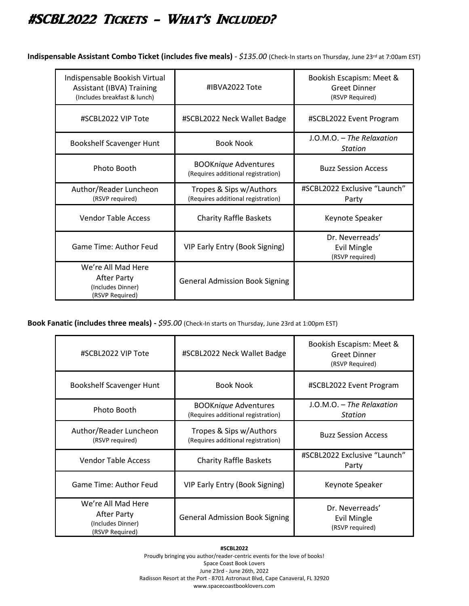## #SCBL2022 Tickets - What's Included?

**Indispensable Assistant Combo Ticket (includes five meals)** - *\$135.00* (Check-In starts on Thursday, June 23rd at 7:00am EST)

| Indispensable Bookish Virtual<br><b>Assistant (IBVA) Training</b><br>(Includes breakfast & lunch) | #IBVA2022 Tote                                                    | Bookish Escapism: Meet &<br><b>Greet Dinner</b><br>(RSVP Required) |
|---------------------------------------------------------------------------------------------------|-------------------------------------------------------------------|--------------------------------------------------------------------|
| #SCBL2022 VIP Tote                                                                                | #SCBL2022 Neck Wallet Badge                                       | #SCBL2022 Event Program                                            |
| Bookshelf Scavenger Hunt                                                                          | <b>Book Nook</b>                                                  | $LO.M.O. - The Relaxation$<br><b>Station</b>                       |
| Photo Booth                                                                                       | <b>BOOKnique Adventures</b><br>(Requires additional registration) | <b>Buzz Session Access</b>                                         |
| Author/Reader Luncheon<br>(RSVP required)                                                         | Tropes & Sips w/Authors<br>(Requires additional registration)     | #SCBL2022 Exclusive "Launch"<br>Party                              |
| <b>Vendor Table Access</b>                                                                        | <b>Charity Raffle Baskets</b>                                     | Keynote Speaker                                                    |
| Game Time: Author Feud                                                                            | VIP Early Entry (Book Signing)                                    | Dr. Neverreads'<br><b>Evil Mingle</b><br>(RSVP required)           |
| We're All Mad Here<br>After Party<br>(Includes Dinner)<br>(RSVP Required)                         | <b>General Admission Book Signing</b>                             |                                                                    |

**Book Fanatic (includes three meals) -** *\$95.00* (Check-In starts on Thursday, June 23rd at 1:00pm EST)

l.

| #SCBL2022 VIP Tote                                                        | #SCBL2022 Neck Wallet Badge                                       | Bookish Escapism: Meet &<br><b>Greet Dinner</b><br>(RSVP Required) |
|---------------------------------------------------------------------------|-------------------------------------------------------------------|--------------------------------------------------------------------|
| Bookshelf Scavenger Hunt                                                  | <b>Book Nook</b>                                                  | #SCBL2022 Event Program                                            |
| Photo Booth                                                               | <b>BOOKnique Adventures</b><br>(Requires additional registration) | $J.O.M.O. - The Relaxation$<br><b>Station</b>                      |
| Author/Reader Luncheon<br>(RSVP required)                                 | Tropes & Sips w/Authors<br>(Requires additional registration)     | <b>Buzz Session Access</b>                                         |
| <b>Vendor Table Access</b>                                                | <b>Charity Raffle Baskets</b>                                     | #SCBL2022 Exclusive "Launch"<br>Party                              |
| Game Time: Author Feud                                                    | VIP Early Entry (Book Signing)                                    | Keynote Speaker                                                    |
| We're All Mad Here<br>After Party<br>(Includes Dinner)<br>(RSVP Required) | <b>General Admission Book Signing</b>                             | Dr. Neverreads'<br><b>Evil Mingle</b><br>(RSVP required)           |

**#SCBL2022** Proudly bringing you author/reader-centric events for the love of books! Space Coast Book Lovers June 23rd - June 26th, 2022 Radisson Resort at the Port - 8701 Astronaut Blvd, Cape Canaveral, FL 32920 www.spacecoastbooklovers.com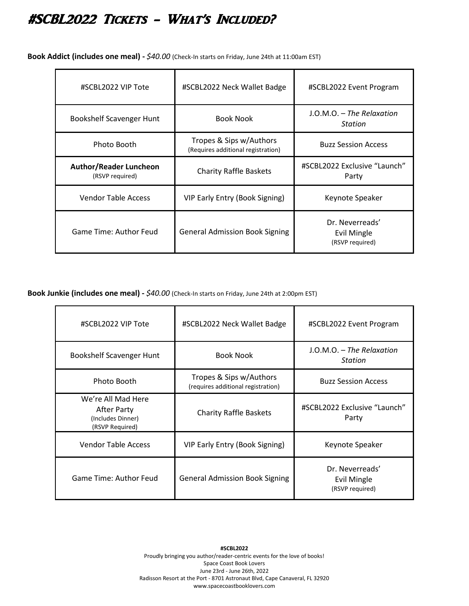## #SCBL2022 Tickets - What's Included?

**Book Addict (includes one meal) -** *\$40.00* (Check-In starts on Friday, June 24th at 11:00am EST)

| #SCBL2022 VIP Tote                               | #SCBL2022 Neck Wallet Badge                                   | #SCBL2022 Event Program                           |
|--------------------------------------------------|---------------------------------------------------------------|---------------------------------------------------|
| Bookshelf Scavenger Hunt                         | <b>Book Nook</b>                                              | $J.O.M.O. - The Relaxation$<br><b>Station</b>     |
| Photo Booth                                      | Tropes & Sips w/Authors<br>(Requires additional registration) | <b>Buzz Session Access</b>                        |
| <b>Author/Reader Luncheon</b><br>(RSVP required) | <b>Charity Raffle Baskets</b>                                 | #SCBL2022 Exclusive "Launch"<br>Party             |
| <b>Vendor Table Access</b>                       | VIP Early Entry (Book Signing)                                | Keynote Speaker                                   |
| Game Time: Author Feud                           | <b>General Admission Book Signing</b>                         | Dr. Neverreads'<br>Evil Mingle<br>(RSVP required) |

**Book Junkie (includes one meal) -** *\$40.00* (Check-In starts on Friday, June 24th at 2:00pm EST)

| #SCBL2022 VIP Tote                                                        | #SCBL2022 Neck Wallet Badge                                   | #SCBL2022 Event Program                           |
|---------------------------------------------------------------------------|---------------------------------------------------------------|---------------------------------------------------|
| Bookshelf Scavenger Hunt                                                  | <b>Book Nook</b>                                              | $J.O.M.O. - The Relaxation$<br>Station            |
| Photo Booth                                                               | Tropes & Sips w/Authors<br>(requires additional registration) | <b>Buzz Session Access</b>                        |
| We're All Mad Here<br>After Party<br>(Includes Dinner)<br>(RSVP Required) | <b>Charity Raffle Baskets</b>                                 | #SCBL2022 Exclusive "Launch"<br>Party             |
| <b>Vendor Table Access</b>                                                | VIP Early Entry (Book Signing)                                | Keynote Speaker                                   |
| Game Time: Author Feud                                                    | <b>General Admission Book Signing</b>                         | Dr. Neverreads'<br>Evil Mingle<br>(RSVP required) |